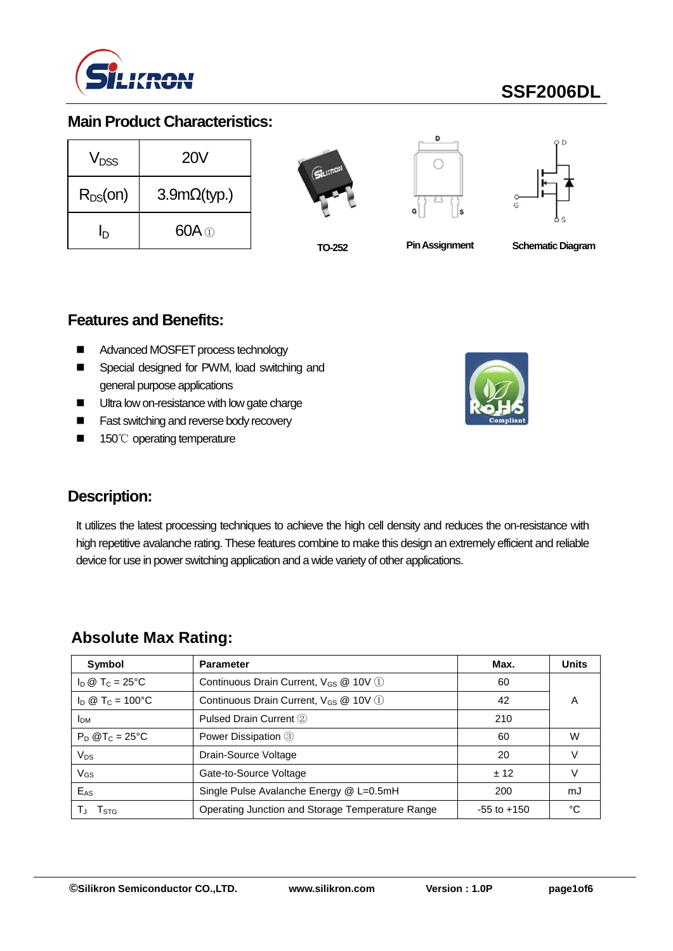

# **SSF2006DL**

## **Main Product Characteristics:**

| V <sub>DSS</sub> | 20V                |  |  |  |
|------------------|--------------------|--|--|--|
| $R_{DS}(on)$     | $3.9m\Omega(typ.)$ |  |  |  |
| ln               | $60A \odot$        |  |  |  |







**TO-252 PinAssignment Schematic Diagram**

#### **Features and Benefits:**

- Advanced MOSFET process technology
- Special designed for PWM, load switching and general purpose applications
- **Ultra low on-resistance with low gate charge**
- **Fast switching and reverse body recovery**
- 150℃ operating temperature



### **Description:**

It utilizes the latest processing techniques to achieve the high cell density and reduces the on-resistance with high repetitive avalanche rating. These features combine to make this design an extremely efficient and reliable device for use in power switching application and a wide variety of other applications.

### **Absolute Max Rating:**

| Symbol                       | <b>Parameter</b>                                  | Max.            | <b>Units</b> |
|------------------------------|---------------------------------------------------|-----------------|--------------|
| $I_D \otimes T_C = 25$ °C    | Continuous Drain Current, V <sub>GS</sub> @ 10V 1 | 60              |              |
| $I_D @ T_C = 100°C$          | Continuous Drain Current, V <sub>GS</sub> @ 10V 1 | 42              | A            |
| <b>IDM</b>                   | Pulsed Drain Current 2                            | 210             |              |
| $P_D$ @T <sub>C</sub> = 25°C | Power Dissipation 3                               | 60              | w            |
| $V_{DS}$                     | Drain-Source Voltage                              | 20              |              |
| $V_{GS}$                     | Gate-to-Source Voltage                            | ± 12            |              |
| $E_{AS}$                     | Single Pulse Avalanche Energy @ L=0.5mH           | 200             | mJ           |
| I STG                        | Operating Junction and Storage Temperature Range  | $-55$ to $+150$ | °C           |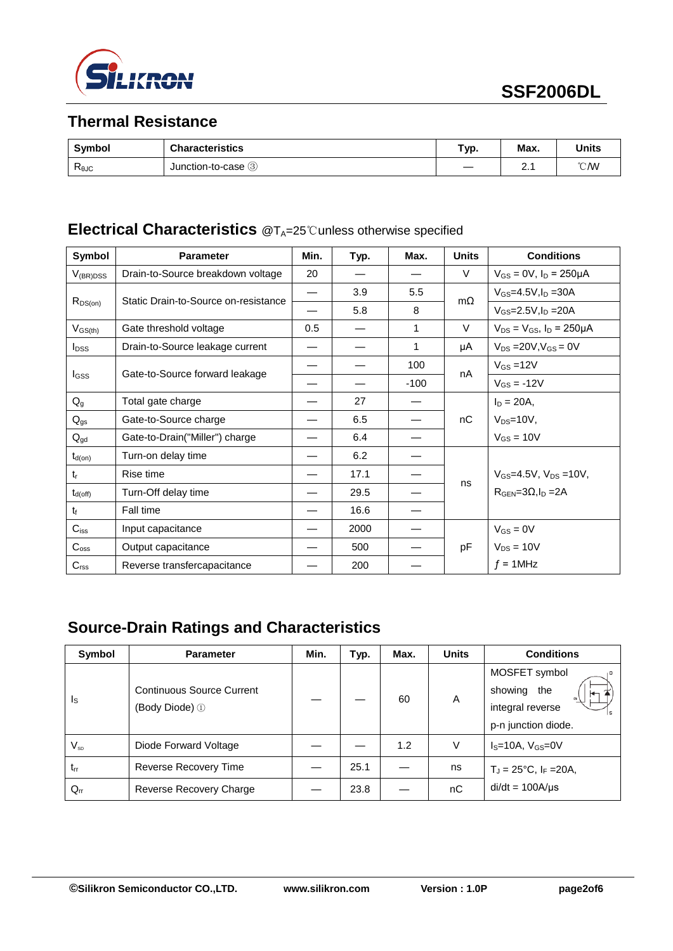

# **Thermal Resistance**

| Symbol                | <b>Characteristics</b> | Typ. | Max. | <b>Units</b>   |
|-----------------------|------------------------|------|------|----------------|
| $R_{\theta$ J $\circ$ | Junction-to-case 3     |      | r.   | $^{\circ}$ C/W |

## **Electrical Characteristics** @T<sub>A</sub>=25℃unless otherwise specified

| Symbol                  | <b>Parameter</b>                     | Min. | Typ. | Max.   | <b>Units</b> | <b>Conditions</b>                     |
|-------------------------|--------------------------------------|------|------|--------|--------------|---------------------------------------|
| $V_{(BR)DSS}$           | Drain-to-Source breakdown voltage    | 20   |      |        | V            | $V_{GS} = 0V$ , $I_D = 250 \mu A$     |
| $R_{DS(on)}$            | Static Drain-to-Source on-resistance |      | 3.9  | 5.5    | $m\Omega$    | $V_{GS} = 4.5V, I_D = 30A$            |
|                         |                                      |      | 5.8  | 8      |              | $V_{GS} = 2.5 V, I_D = 20 A$          |
| $V_{GS(th)}$            | Gate threshold voltage               | 0.5  |      | 1      | $\vee$       | $V_{DS} = V_{GS}$ , $I_D = 250 \mu A$ |
| <b>I</b> <sub>DSS</sub> | Drain-to-Source leakage current      |      |      | 1      | μA           | $V_{DS} = 20V, V_{GS} = 0V$           |
|                         |                                      |      |      | 100    | nA           | $V_{GS} = 12V$                        |
| <b>I</b> GSS            | Gate-to-Source forward leakage       |      |      | $-100$ |              | $V_{GS} = -12V$                       |
| $Q_{q}$                 | Total gate charge                    |      | 27   |        |              | $I_D = 20A,$                          |
| $Q_{gs}$                | Gate-to-Source charge                |      | 6.5  |        | nC           | $V_{DS}=10V,$                         |
| $Q_{gd}$                | Gate-to-Drain("Miller") charge       |      | 6.4  |        |              | $V_{GS} = 10V$                        |
| $t_{d(on)}$             | Turn-on delay time                   |      | 6.2  |        |              |                                       |
| $t_{r}$                 | Rise time                            |      | 17.1 |        |              | $V_{GS} = 4.5V$ , $V_{DS} = 10V$ ,    |
| $t_{d(\mathsf{off})}$   | Turn-Off delay time                  |      | 29.5 |        | ns           | $RGEN=3\Omega, ID=2A$                 |
| $t_{\rm f}$             | Fall time                            |      | 16.6 |        |              |                                       |
| $C_{iss}$               | Input capacitance                    |      | 2000 |        |              | $V_{GS} = 0V$                         |
| $C_{\text{oss}}$        | Output capacitance                   |      | 500  |        | pF           | $V_{DS} = 10V$                        |
| $C_{\text{rss}}$        | Reverse transfercapacitance          |      | 200  |        |              | $f = 1$ MHz                           |

# **Source-Drain Ratings and Characteristics**

| Symbol   | <b>Parameter</b>                                   | Min. | Typ. | Max. | <b>Units</b> | <b>Conditions</b>                                                       |
|----------|----------------------------------------------------|------|------|------|--------------|-------------------------------------------------------------------------|
| Is       | <b>Continuous Source Current</b><br>(Body Diode) ① |      |      | 60   | A            | MOSFET symbol<br>showing the<br>integral reverse<br>p-n junction diode. |
| $V_{SD}$ | Diode Forward Voltage                              |      |      | 1.2  | V            | $IS=10A, VGS=0V$                                                        |
| $t_{rr}$ | Reverse Recovery Time                              |      | 25.1 |      | ns           | $T_J = 25^{\circ}C, I_F = 20A,$                                         |
| $Q_{rr}$ | Reverse Recovery Charge                            |      | 23.8 |      | nC           | $di/dt = 100A/\mu s$                                                    |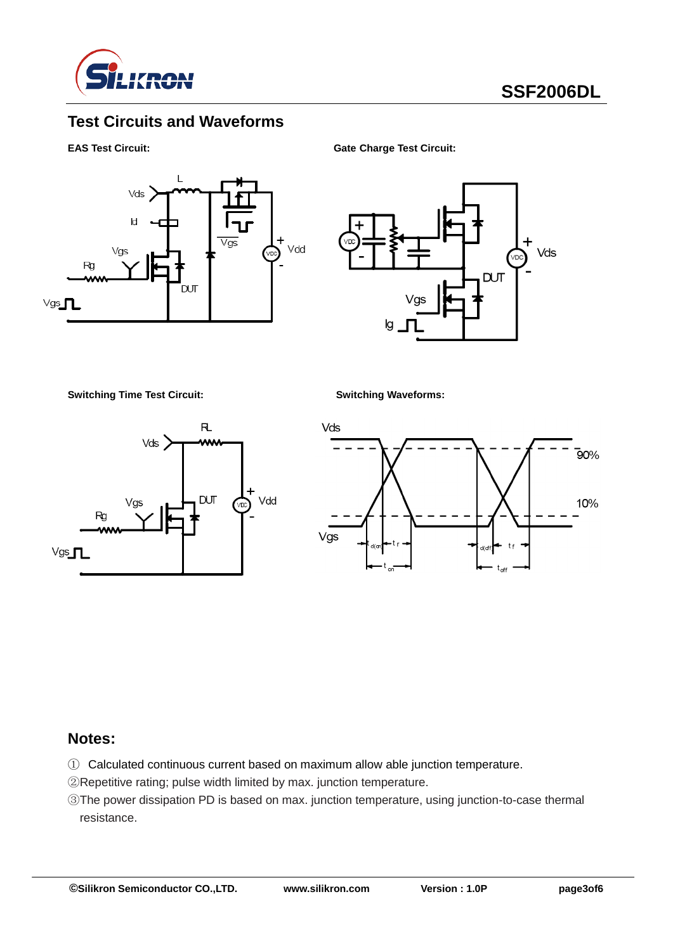

# **Test Circuits and Waveforms**

**EAS Test Circuit: Gate Charge Test Circuit:**



Vds DUT lg

**Switching Time Test Circuit: Switching Waveforms:**





### **Notes:**

- ① Calculated continuous current based on maximum allow able junction temperature.
- ②Repetitive rating; pulse width limited by max. junction temperature.
- ③The power dissipation PD is based on max. junction temperature, using junction-to-case thermal resistance.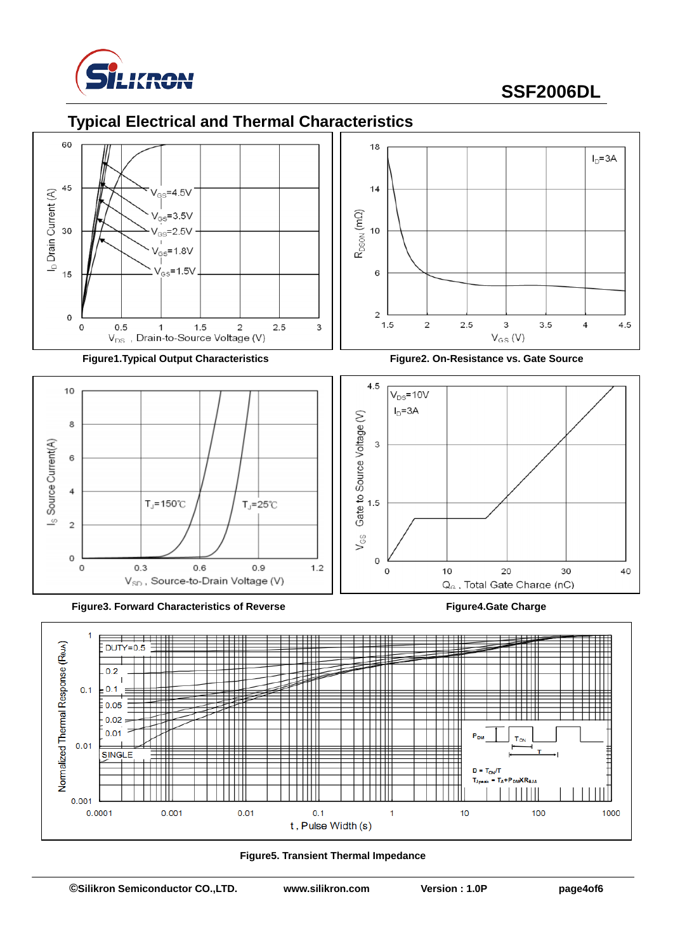

# **SSF2006DL**

## **Typical Electrical and Thermal Characteristics**





**Figure3. Forward Characteristics of Reverse Figure4.Gate Charge**



**Figure1.Typical Output Characteristics Figure2. On-Resistance vs. Gate Source**





**Figure5. Transient Thermal Impedance**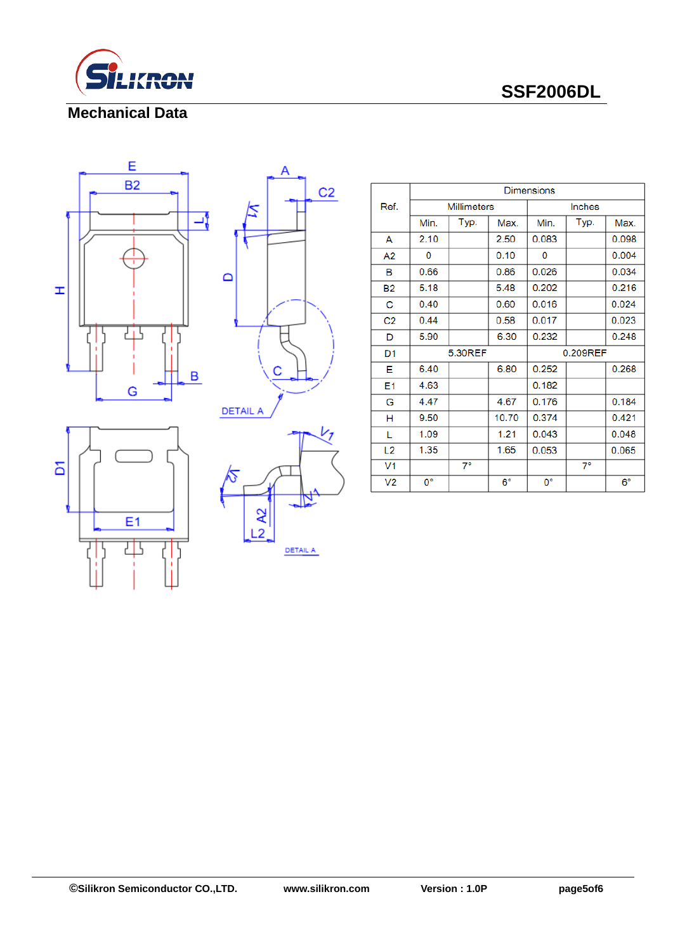

 **SSF2006DL**

#### **Mechanical Data**









|                | <b>Dimensions</b> |                    |             |          |           |             |  |  |  |
|----------------|-------------------|--------------------|-------------|----------|-----------|-------------|--|--|--|
| Ref.           |                   | <b>Millimeters</b> |             | Inches   |           |             |  |  |  |
|                | Min.              | Typ.               | Max.        | Min.     | Typ.      | Max.        |  |  |  |
| A              | 2.10              |                    | 2.50        | 0.083    |           | 0.098       |  |  |  |
| A2             | 0                 |                    | 0.10        | 0        |           | 0.004       |  |  |  |
| в              | 0.66              |                    | 0.86        | 0.026    |           | 0.034       |  |  |  |
| <b>B2</b>      | 5.18              |                    | 5.48        | 0.202    |           | 0.216       |  |  |  |
| С              | 0.40              |                    | 0.60        | 0.016    |           | 0.024       |  |  |  |
| C <sub>2</sub> | 0.44              |                    | 0.58        | 0.017    |           | 0.023       |  |  |  |
| D              | 5.90              |                    | 6.30        | 0.232    |           | 0.248       |  |  |  |
| D <sub>1</sub> |                   | 5.30REF            |             | 0.209REF |           |             |  |  |  |
| Е              | 6.40              |                    | 6.80        | 0.252    |           | 0.268       |  |  |  |
| E1             | 4.63              |                    |             | 0.182    |           |             |  |  |  |
| G              | 4.47              |                    | 4.67        | 0.176    |           | 0.184       |  |  |  |
| н              | 9.50              |                    | 10.70       | 0.374    |           | 0.421       |  |  |  |
| L              | 1.09              |                    | 1.21        | 0.043    |           | 0.048       |  |  |  |
| L <sub>2</sub> | 1.35              |                    | 1.65        | 0.053    |           | 0.065       |  |  |  |
| V <sub>1</sub> |                   | $7^{\circ}$        |             |          | $7^\circ$ |             |  |  |  |
| V <sub>2</sub> | $0^{\circ}$       |                    | $6^{\circ}$ | 0°       |           | $6^{\circ}$ |  |  |  |